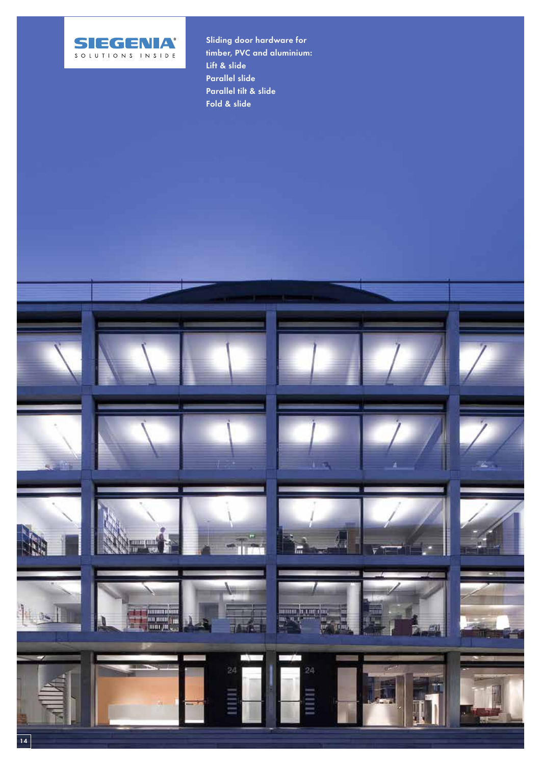

Sliding door hardware for timber, PVC and aluminium: Lift & slide Parallel slide Parallel tilt & slide Fold & slide